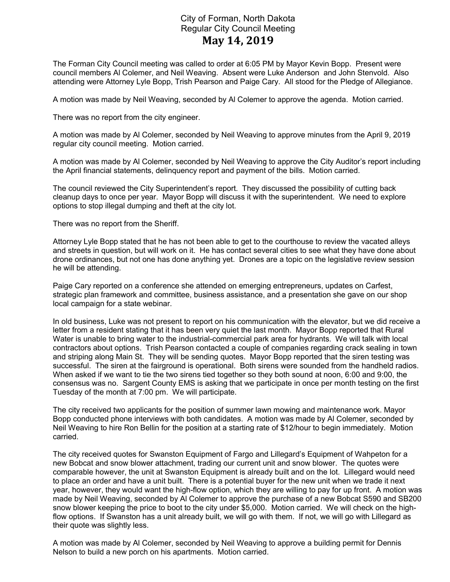## City of Forman, North Dakota Regular City Council Meeting May 14, 2019

The Forman City Council meeting was called to order at 6:05 PM by Mayor Kevin Bopp. Present were council members Al Colemer, and Neil Weaving. Absent were Luke Anderson and John Stenvold. Also attending were Attorney Lyle Bopp, Trish Pearson and Paige Cary. All stood for the Pledge of Allegiance.

A motion was made by Neil Weaving, seconded by Al Colemer to approve the agenda. Motion carried.

There was no report from the city engineer.

A motion was made by Al Colemer, seconded by Neil Weaving to approve minutes from the April 9, 2019 regular city council meeting. Motion carried.

A motion was made by Al Colemer, seconded by Neil Weaving to approve the City Auditor's report including the April financial statements, delinquency report and payment of the bills. Motion carried.

The council reviewed the City Superintendent's report. They discussed the possibility of cutting back cleanup days to once per year. Mayor Bopp will discuss it with the superintendent. We need to explore options to stop illegal dumping and theft at the city lot.

There was no report from the Sheriff.

Attorney Lyle Bopp stated that he has not been able to get to the courthouse to review the vacated alleys and streets in question, but will work on it. He has contact several cities to see what they have done about drone ordinances, but not one has done anything yet. Drones are a topic on the legislative review session he will be attending.

Paige Cary reported on a conference she attended on emerging entrepreneurs, updates on Carfest, strategic plan framework and committee, business assistance, and a presentation she gave on our shop local campaign for a state webinar.

In old business, Luke was not present to report on his communication with the elevator, but we did receive a letter from a resident stating that it has been very quiet the last month. Mayor Bopp reported that Rural Water is unable to bring water to the industrial-commercial park area for hydrants. We will talk with local contractors about options. Trish Pearson contacted a couple of companies regarding crack sealing in town and striping along Main St. They will be sending quotes. Mayor Bopp reported that the siren testing was successful. The siren at the fairground is operational. Both sirens were sounded from the handheld radios. When asked if we want to tie the two sirens tied together so they both sound at noon, 6:00 and 9:00, the consensus was no. Sargent County EMS is asking that we participate in once per month testing on the first Tuesday of the month at 7:00 pm. We will participate.

The city received two applicants for the position of summer lawn mowing and maintenance work. Mayor Bopp conducted phone interviews with both candidates. A motion was made by Al Colemer, seconded by Neil Weaving to hire Ron Bellin for the position at a starting rate of \$12/hour to begin immediately. Motion carried.

The city received quotes for Swanston Equipment of Fargo and Lillegard's Equipment of Wahpeton for a new Bobcat and snow blower attachment, trading our current unit and snow blower. The quotes were comparable however, the unit at Swanston Equipment is already built and on the lot. Lillegard would need to place an order and have a unit built. There is a potential buyer for the new unit when we trade it next year, however, they would want the high-flow option, which they are willing to pay for up front. A motion was made by Neil Weaving, seconded by Al Colemer to approve the purchase of a new Bobcat S590 and SB200 snow blower keeping the price to boot to the city under \$5,000. Motion carried. We will check on the highflow options. If Swanston has a unit already built, we will go with them. If not, we will go with Lillegard as their quote was slightly less.

A motion was made by Al Colemer, seconded by Neil Weaving to approve a building permit for Dennis Nelson to build a new porch on his apartments. Motion carried.